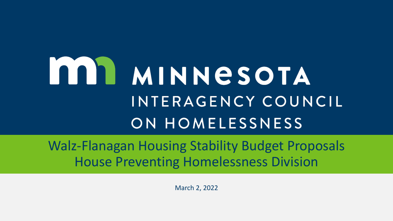## **MINNESOTA** INTERAGENCY COUNCIL ON HOMELESSNESS

Walz-Flanagan Housing Stability Budget Proposals House Preventing Homelessness Division

March 2, 2022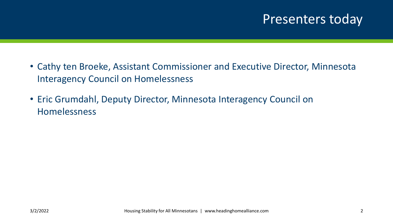## Presenters today

- Cathy ten Broeke, Assistant Commissioner and Executive Director, Minnesota Interagency Council on Homelessness
- Eric Grumdahl, Deputy Director, Minnesota Interagency Council on Homelessness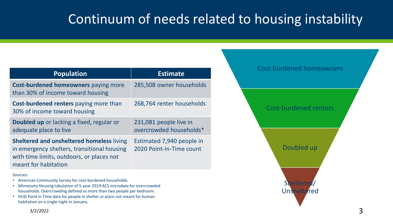## Continuum of needs related to housing instability

| <b>Population</b>                                                                                                                                                    | <b>Estimate</b>                                       |
|----------------------------------------------------------------------------------------------------------------------------------------------------------------------|-------------------------------------------------------|
| <b>Cost-burdened homeowners paying more</b><br>than 30% of income toward housing                                                                                     | 285,508 owner households                              |
| <b>Cost-burdened renters</b> paying more than<br>30% of income toward housing                                                                                        | 268,764 renter households                             |
| <b>Doubled up</b> or lacking a fixed, regular or<br>adequate place to live                                                                                           | 231,081 people live in<br>overcrowded households*     |
| <b>Sheltered and unsheltered homeless living</b><br>in emergency shelters, transitional housing<br>with time limits, outdoors, or places not<br>meant for habitation | Estimated 7,940 people in<br>2020 Point-in-Time count |
| Sources:                                                                                                                                                             |                                                       |

- American Community Survey for cost-burdened households.
- Minnesota Housing tabulation of 5-year 2019 ACS microdata for overcrowded households. Overcrowding defined as more than two people per bedroom.
- HUD Point in Time data for people in shelter or place not meant for human habitation on a single night in January.

# Cost-burdened renters Doubled up **Sheltered Unsheltered**

Cost-burdened homeowners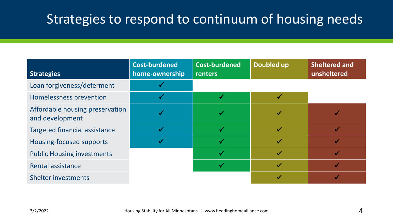## Strategies to respond to continuum of housing needs

| <b>Strategies</b>                                  | <b>Cost-burdened</b><br>home-ownership | <b>Cost-burdened</b><br>renters | Doubled up   | <b>Sheltered and</b><br>unsheltered |
|----------------------------------------------------|----------------------------------------|---------------------------------|--------------|-------------------------------------|
| Loan forgiveness/deferment                         |                                        |                                 |              |                                     |
| Homelessness prevention                            |                                        | $\checkmark$                    |              |                                     |
| Affordable housing preservation<br>and development |                                        |                                 |              |                                     |
| <b>Targeted financial assistance</b>               |                                        | $\checkmark$                    | $\checkmark$ |                                     |
| Housing-focused supports                           |                                        |                                 |              |                                     |
| <b>Public Housing investments</b>                  |                                        |                                 |              |                                     |
| Rental assistance                                  |                                        |                                 |              |                                     |
| <b>Shelter investments</b>                         |                                        |                                 |              |                                     |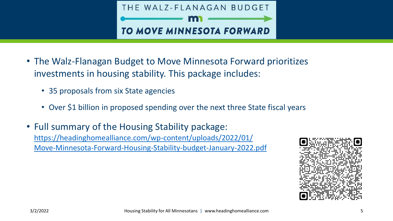

- The Walz-Flanagan Budget to Move Minnesota Forward prioritizes investments in housing stability. This package includes:
	- 35 proposals from six State agencies
	- Over \$1 billion in proposed spending over the next three State fiscal years
- Full summary of the Housing Stability package: https://headinghomealliance.com/wp-content/uploads/2022/01/ [Move-Minnesota-Forward-Housing-Stability-budget-January-2022.pdf](https://headinghomealliance.com/wp-content/uploads/2022/01/Move-Minnesota-Forward-Housing-Stability-budget-January-2022.pdf)

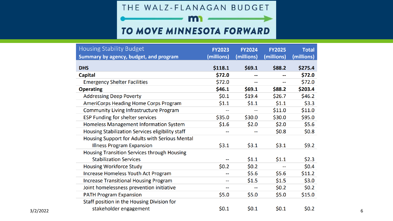THE WALZ-FLANAGAN BUDGET

m

#### TO MOVE MINNESOTA FORWARD

| Housing Stability Budget                           | <b>FY2023</b>            | <b>FY2024</b>            | <b>FY2025</b>            | <b>Total</b> |
|----------------------------------------------------|--------------------------|--------------------------|--------------------------|--------------|
| Summary by agency, budget, and program             | (millions)               | (millions)               | (millions)               | (millions)   |
| <b>DHS</b>                                         | \$118.1                  | \$69.1                   | \$88.2                   | \$275.4      |
| <b>Capital</b>                                     | \$72.0                   |                          | $\overline{\phantom{a}}$ | \$72.0       |
| <b>Emergency Shelter Facilities</b>                | \$72.0                   | --                       | $\overline{\phantom{m}}$ | \$72.0       |
| <b>Operating</b>                                   | \$46.1                   | \$69.1                   | \$88.2                   | \$203.4      |
| <b>Addressing Deep Poverty</b>                     | \$0.1                    | \$19.4                   | \$26.7                   | \$46.2       |
| AmeriCorps Heading Home Corps Program              | \$1.1                    | \$1.1                    | \$1.1                    | \$3.3        |
| <b>Community Living Infrastructure Program</b>     |                          |                          | \$11.0                   | \$11.0       |
| <b>ESP Funding for shelter services</b>            | \$35.0                   | \$30.0                   | \$30.0                   | \$95.0       |
| Homeless Management Information System             | \$1.6                    | \$2.0                    | \$2.0                    | \$5.6        |
| Housing Stabilization Services eligibility staff   | --                       | $\overline{\phantom{a}}$ | \$0.8\$                  | \$0.8        |
| Housing Support for Adults with Serious Mental     |                          |                          |                          |              |
| <b>Illness Program Expansion</b>                   | \$3.1                    | \$3.1                    | \$3.1                    | \$9.2        |
| <b>Housing Transition Services through Housing</b> |                          |                          |                          |              |
| <b>Stabilization Services</b>                      |                          | \$1.1                    | \$1.1                    | \$2.3        |
| <b>Housing Workforce Study</b>                     | \$0.2\$                  | \$0.2\$                  |                          | \$0.4\$      |
| Increase Homeless Youth Act Program                | $\overline{\phantom{a}}$ | \$5.6                    | \$5.6                    | \$11.2       |
| <b>Increase Transitional Housing Program</b>       | $\overline{\phantom{a}}$ | \$1.5                    | \$1.5                    | \$3.0        |
| Joint homelessness prevention initiative           | --                       |                          | \$0.2\$                  | \$0.2\$      |
| <b>PATH Program Expansion</b>                      | \$5.0                    | \$5.0                    | \$5.0                    | \$15.0       |
| Staff position in the Housing Division for         |                          |                          |                          |              |
| stakeholder engagement                             | \$0.1                    | \$0.1                    | \$0.1                    | \$0.2\$      |
|                                                    |                          |                          |                          |              |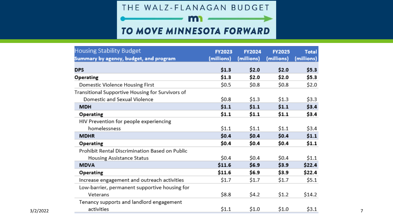THE WALZ-FLANAGAN BUDGET

m

#### TO MOVE MINNESOTA FORWARD

| <b>Housing Stability Budget</b>                  | <b>FY2023</b> | <b>FY2024</b> | <b>FY2025</b> | <b>Total</b> |
|--------------------------------------------------|---------------|---------------|---------------|--------------|
| Summary by agency, budget, and program           | (millions)    | (millions)    | (millions)    | (millions)   |
| <b>DPS</b>                                       | \$1.3         | \$2.0         | \$2.0         | \$5.3\$      |
| Operating                                        | \$1.3         | \$2.0         | \$2.0         | \$5.3        |
| Domestic Violence Housing First                  | \$0.5         | \$0.8         | \$0.8         | \$2.0        |
| Transitional Supportive Housing for Survivors of |               |               |               |              |
| Domestic and Sexual Violence                     | \$0.8         | \$1.3         | \$1.3         | \$3.3        |
| <b>MDH</b>                                       | \$1.1         | \$1.1         | \$1.1         | \$3.4        |
| Operating                                        | \$1.1         | \$1.1         | \$1.1         | \$3.4        |
| HIV Prevention for people experiencing           |               |               |               |              |
| homelessness                                     | \$1.1         | \$1.1         | \$1.1         | \$3.4        |
| <b>MDHR</b>                                      | \$0.4\$       | \$0.4\$       | \$0.4\$       | \$1.1        |
| Operating                                        | \$0.4         | \$0.4         | \$0.4         | \$1.1        |
| Prohibit Rental Discrimination Based on Public   |               |               |               |              |
| Housing Assistance Status                        | \$0.4         | \$0.4         | \$0.4         | \$1.1        |
| <b>MDVA</b>                                      | \$11.6        | \$6.9         | \$3.9         | \$22.4       |
| Operating                                        | \$11.6        | \$6.9         | \$3.9         | \$22.4       |
| Increase engagement and outreach activities      | \$1.7         | \$1.7         | \$1.7         | \$5.1        |
| Low-barrier, permanent supportive housing for    |               |               |               |              |
| Veterans                                         | \$8.8         | \$4.2         | \$1.2         | \$14.2       |
| Tenancy supports and landlord engagement         |               |               |               |              |
| activities                                       | \$1.1         | \$1.0         | \$1.0         | \$3.1        |
|                                                  |               |               |               |              |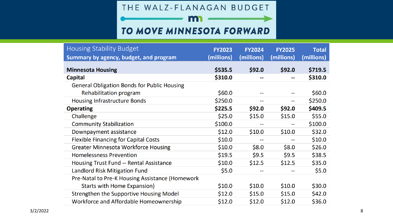THE WALZ-FLANAGAN BUDGET

m

#### TO MOVE MINNESOTA FORWARD

| <b>Housing Stability Budget</b>                    | <b>FY2023</b> | <b>FY2024</b> | <b>FY2025</b> | <b>Total</b> |
|----------------------------------------------------|---------------|---------------|---------------|--------------|
| Summary by agency, budget, and program             | (millions)    | (millions)    | (millions)    | (millions)   |
| <b>Minnesota Housing</b>                           | \$535.5       | \$92.0        | \$92.0        | \$719.5      |
| <b>Capital</b>                                     | \$310.0       |               | --            | \$310.0      |
| <b>General Obligation Bonds for Public Housing</b> |               |               |               |              |
| Rehabilitation program                             | \$60.0        |               |               | \$60.0\$     |
| <b>Housing Infrastructure Bonds</b>                | \$250.0       | --            | --            | \$250.0      |
| <b>Operating</b>                                   | \$225.5       | \$92.0        | \$92.0        | \$409.5      |
| Challenge                                          | \$25.0        | \$15.0        | \$15.0        | \$55.0       |
| <b>Community Stabilization</b>                     | \$100.0       |               | --            | \$100.0      |
| Downpayment assistance                             | \$12.0        | \$10.0        | \$10.0        | \$32.0       |
| <b>Flexible Financing for Capital Costs</b>        | \$10.0        | --            | --            | \$10.0       |
| <b>Greater Minnesota Workforce Housing</b>         | \$10.0        | \$8.0         | \$8.0         | \$26.0       |
| <b>Homelessness Prevention</b>                     | \$19.5        | \$9.5         | \$9.5         | \$38.5       |
| Housing Trust Fund -- Rental Assistance            | \$10.0        | \$12.5        | \$12.5        | \$35.0       |
| Landlord Risk Mitigation Fund                      | \$5.0         |               |               | \$5.0        |
| Pre-Natal to Pre-K Housing Assistance (Homework    |               |               |               |              |
| <b>Starts with Home Expansion)</b>                 | \$10.0        | \$10.0        | \$10.0        | \$30.0       |
| Strengthen the Supportive Housing Model            | \$12.0        | \$15.0        | \$15.0        | \$42.0       |
| Workforce and Affordable Homeownership             | \$12.0        | \$12.0        | \$12.0        | \$36.0       |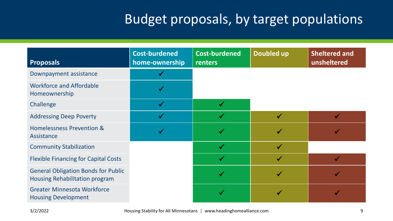| <b>Proposals</b>                                                             | <b>Cost-burdened</b><br>home-ownership | <b>Cost-burdened</b><br>renters | <b>Doubled up</b> | <b>Sheltered and</b><br>unsheltered |
|------------------------------------------------------------------------------|----------------------------------------|---------------------------------|-------------------|-------------------------------------|
| Downpayment assistance                                                       |                                        |                                 |                   |                                     |
| <b>Workforce and Affordable</b><br>Homeownership                             |                                        |                                 |                   |                                     |
| Challenge                                                                    |                                        |                                 |                   |                                     |
| <b>Addressing Deep Poverty</b>                                               |                                        |                                 | $\checkmark$      |                                     |
| <b>Homelessness Prevention &amp;</b><br>Assistance                           |                                        |                                 |                   |                                     |
| <b>Community Stabilization</b>                                               |                                        | $\checkmark$                    | $\checkmark$      |                                     |
| <b>Flexible Financing for Capital Costs</b>                                  |                                        | $\checkmark$                    |                   | $\checkmark$                        |
| <b>General Obligation Bonds for Public</b><br>Housing Rehabilitation program |                                        |                                 |                   |                                     |
| <b>Greater Minnesota Workforce</b><br><b>Housing Development</b>             |                                        |                                 |                   |                                     |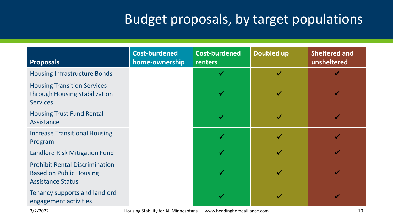| <b>Proposals</b>                                                                                    | <b>Cost-burdened</b><br>home-ownership | <b>Cost-burdened</b><br>renters | <b>Doubled up</b> | <b>Sheltered and</b><br>unsheltered |
|-----------------------------------------------------------------------------------------------------|----------------------------------------|---------------------------------|-------------------|-------------------------------------|
| <b>Housing Infrastructure Bonds</b>                                                                 |                                        |                                 |                   |                                     |
| <b>Housing Transition Services</b><br>through Housing Stabilization<br><b>Services</b>              |                                        |                                 |                   |                                     |
| <b>Housing Trust Fund Rental</b><br>Assistance                                                      |                                        |                                 |                   |                                     |
| <b>Increase Transitional Housing</b><br>Program                                                     |                                        |                                 |                   |                                     |
| <b>Landlord Risk Mitigation Fund</b>                                                                |                                        | $\checkmark$                    | $\checkmark$      | $\blacktriangledown$                |
| <b>Prohibit Rental Discrimination</b><br><b>Based on Public Housing</b><br><b>Assistance Status</b> |                                        |                                 |                   |                                     |
| <b>Tenancy supports and landlord</b><br>engagement activities                                       |                                        |                                 |                   |                                     |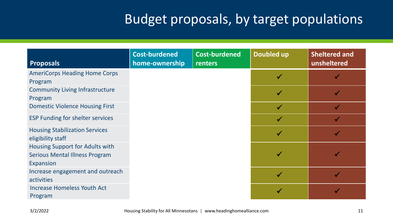| <b>Proposals</b>                                           | <b>Cost-burdened</b><br>home-ownership | <b>Cost-burdened</b><br>renters | <b>Doubled up</b> | <b>Sheltered and</b><br>unsheltered |
|------------------------------------------------------------|----------------------------------------|---------------------------------|-------------------|-------------------------------------|
| <b>AmeriCorps Heading Home Corps</b>                       |                                        |                                 |                   |                                     |
| Program                                                    |                                        |                                 |                   |                                     |
| <b>Community Living Infrastructure</b>                     |                                        |                                 | $\checkmark$      |                                     |
| Program                                                    |                                        |                                 |                   |                                     |
| <b>Domestic Violence Housing First</b>                     |                                        |                                 |                   |                                     |
| <b>ESP Funding for shelter services</b>                    |                                        |                                 |                   |                                     |
| <b>Housing Stabilization Services</b><br>eligibility staff |                                        |                                 |                   |                                     |
| Housing Support for Adults with                            |                                        |                                 |                   |                                     |
| <b>Serious Mental Illness Program</b>                      |                                        |                                 |                   |                                     |
| Expansion                                                  |                                        |                                 |                   |                                     |
| Increase engagement and outreach                           |                                        |                                 |                   |                                     |
| activities                                                 |                                        |                                 |                   |                                     |
| <b>Increase Homeless Youth Act</b>                         |                                        |                                 |                   |                                     |
| Program                                                    |                                        |                                 |                   |                                     |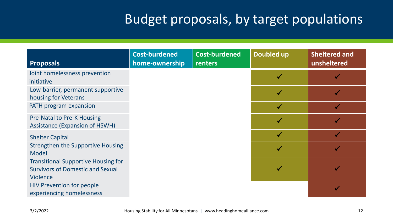| <b>Proposals</b>                                          | <b>Cost-burdened</b><br>home-ownership | <b>Cost-burdened</b><br>renters | <b>Doubled up</b> | <b>Sheltered and</b><br>unsheltered |
|-----------------------------------------------------------|----------------------------------------|---------------------------------|-------------------|-------------------------------------|
| Joint homelessness prevention                             |                                        |                                 |                   |                                     |
| initiative                                                |                                        |                                 |                   |                                     |
| Low-barrier, permanent supportive<br>housing for Veterans |                                        |                                 |                   |                                     |
| PATH program expansion                                    |                                        |                                 |                   |                                     |
| <b>Pre-Natal to Pre-K Housing</b>                         |                                        |                                 |                   |                                     |
| <b>Assistance (Expansion of HSWH)</b>                     |                                        |                                 |                   |                                     |
| <b>Shelter Capital</b>                                    |                                        |                                 |                   |                                     |
| <b>Strengthen the Supportive Housing</b>                  |                                        |                                 |                   |                                     |
| <b>Model</b>                                              |                                        |                                 |                   |                                     |
| <b>Transitional Supportive Housing for</b>                |                                        |                                 |                   |                                     |
| <b>Survivors of Domestic and Sexual</b>                   |                                        |                                 |                   |                                     |
| <b>Violence</b>                                           |                                        |                                 |                   |                                     |
| <b>HIV Prevention for people</b>                          |                                        |                                 |                   |                                     |
| experiencing homelessness                                 |                                        |                                 |                   |                                     |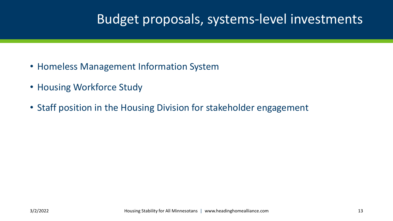## Budget proposals, systems-level investments

- Homeless Management Information System
- Housing Workforce Study
- Staff position in the Housing Division for stakeholder engagement